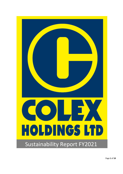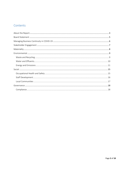# Contents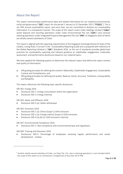## <span id="page-2-0"></span>About the Report

This report communicates performance data and related information for our material environmental, social and governance ("ESG") topics for the period 1 January to 31 December 2021 ("FY2021"). This is our fifth annual sustainability report, and since then, we are committed to disclose our sustainability information in a transparent manner. The scope of this report covers Colex Holdings Limited ("Colex") waste disposal and recycling operations under Colex Environmental Pte Ltd ("CEPL") and contract cleaning operations under Integrated Property Management Pte Ltd ("IPM") in Singapore, both of which are wholly owned subsidiaries of Colex<sup>1</sup>.

This report is aligned with the reporting requirements of the Singapore Exchange Section B: Rules of the Catalist, Listing Rules 711A and 711B – Sustainability Reporting Guide and is prepared with reference to the Global Reporting Initiative's ("GRI") Standards 2016, as this set of standards provides global best practices for sustainability reporting and relevant guidance on stakeholder engagement, materiality assessment, and performance disclosures based on our material topics.

We have applied the following aspects to determine the relevant topics that define the report content and quality of information:

- a) GRI guiding principles for defining the content: Materiality, Stakeholder Engagement, Sustainability Context and Completeness; and
- b) GRI guiding principles for defining the quality: Balance, Clarity, Accuracy, Timeliness, Comparability and Reliability.

This report references the following topic-specific disclosures:

GRI 302: Energy 2016

- Disclosure 302-1: Energy consumption within the organisation
- Disclosure 302-3: Energy intensity

GRI 303: Water and Effluents 2018

• Disclosure 303-3 (a): Water withdrawal

GRI 305: Emissions 2016

 $\overline{a}$ 

- Disclosure 305-1 (a): Direct (Scope 1) GHG emissions
- Disclosure 305-2 (a): Energy indirect (Scope 2) GHG emissions
- Disclosure 305-4 (a) (b) (c): GHG emissions intensity

GRI 307: Environmental Compliance 2016

• Disclosure 307-1: Non-compliance with environmental laws and regulations

GRI 404: Training and Education 2016

• Disclosures 404-3: Percentage of employees receiving regular performance and career development reviews

<sup>1</sup> Another wholly owned subsidiary of Colex, Juz Clean Pte. Ltd., also in cleaning operations, is not included within the scope of this report as its contribution is insignificant at less than 2% of IPM.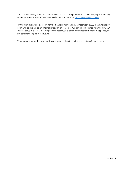Our last sustainability report was published in May 2021. We publish our sustainability reports annually and our reports for previous years are available on our website: [http://www.colex.com.sg/.](http://www.colex.com.sg/)

For the next sustainability report for the financial year ending 31 December 2022, the sustainability report will be subject to an internal review by our Internal Auditors in compliance with the new SGX Catalist Listing Rule 711B. The Company has not sought external assurance for this reporting period, but may consider doing so in the future.

We welcome your feedback or queries which can be directed to investorrelations@colex.com.sg.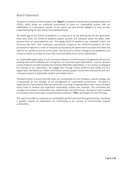### <span id="page-4-0"></span>Board Statement

The Board of Directors of the Company (the "Board") is pleased to present the Sustainability Report for FY2021, which shows our continued commitment to share our sustainability journey with our stakeholders in a transparent manner. In this report, we have shared highlights on how we have progressed during the year and our focus going forward.

The battle against the COVID-19 pandemic is turning out to be the defining test for this generation. Since early 2020, the COVID-19 pandemic placed societies and industries across the globe under pressure from an unprecedented crisis. The raging COVID-19 pandemic was unabated in 2021 and continues into 2022. With continuous uncertainties created by the COVID-19 pandemic, we were prompted to implement a series of measures as required by the government to protect the health and safety of our workforce and our communities. We continue to monitor changes to the guidelines so as to keep ourselves up to date to ensure the continued safety of our various stakeholders.

As a responsible organisation, it is our constant endeavour to lead the waste management and contract cleaning sector with credibility and a strong focus on corporate social responsibility. To do so, we place utmost emphasis on understanding and meeting stakeholder expectations. In our process to safeguard the interests of our stakeholders, we engage them through various platforms and modes and on a regular basis. We believe our holistic commitment towards people, environment and business will carry us forward towards a responsible, resilient and reliable future.

The Board strives to ensure that ESG issues are incorporated into the Company's overall strategy, and is responsible for the oversight of the management of sustainability performance. The Board is supported by a Sustainability Steering Committee consisting of representatives from various divisions across Colex to develop and implement sustainability policies and initiatives. The committee also manages and monitors sustainability risks, opportunities and performance. The Board is also involved in reviewing material ESG topics, key performance indicators ("KPIs") and targets for each ESG topic.

This report is an effort to showcase our sustainability performance and share good practices. The Board is grateful towards all stakeholders for contributing to our journey of transformation towards sustainability.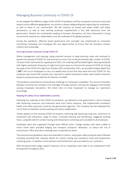## <span id="page-5-0"></span>Managing Business Continuity in COVID-19

As we navigate the different stages of the COVID-19 pandemic and the consequent economic and social impacts across different geographies, our priority is always safeguarding and supporting our employees, as well as those in our communities. We will continue to review and adopt health and safety precautions, as well as new working protocols implemented in line with advisories from the government. Despite the uncertainties leading to business disruptions, we have showcased a strong commitment towards our stakeholders since the outbreak of the global pandemic.

During the pandemic, effective board governance and oversight was emphasised by constantly monitoring, reviewing, and managing risks and opportunities to ensure that the Company remains resilient and sustainable.

#### Ensuring business continuity during COVID-19

Waste management and cleaning, being essential services to keep premises clean and sanitised to prevent the spread of COVID-19, was business as usual. Due to the persistently high number of COVID-19 cases in the community for a good part of 2021, our cleaning staff provided higher cleaning standards with higher sanitisation frequency to high touch point areas to minimise the spread of COVID-19. During the peak of the COVID-19 surge from October 2021 to December 2021, we provided Antigen Rapid Test  $($ "ART") kits to our employees to carry out weekly tests to test that they were free from COVID-19. Any employee who tested ART positive was required to isolate themselves and/or seek medical attention based on protocols prescribed by the Ministry of Health.

The pandemic presented an extraordinary challenge on manpower availability. The closure of borders between countries has resulted in the shortage of foreign workers coming into Singapore and thereby causing manpower disruptions. We relied more on local manpower to manage our operations accordingly.

#### Keeping the safety of our stakeholders a priority

Following the outbreak of the COVID-19 pandemic, we adhered to the government's call to institute safe distancing measures and embraced work from home measures. We implemented mandatory health and safety protocols issued by the government agencies. The Company has also deployed the use of Zoom to facilitate remote working and online collaboration.

Timely updates on the evolving COVID-19 situation, enforcing safe distancing measures, restriction on movement and interaction, usage of masks, increased cleaning and disinfecting, staggered working hours, using QR code for contact tracing and temperature screening were provided to all employees.

Employees were also supported through these difficult times. Foreign workers who were unable to return home were provided lodging and transport assistance. Moreover, to reduce the risk of transmission, office and client meetings were conducted via Zoom.

The precautionary guidelines were also extended to visitors, and proper safety protocols were followed including recording their requisite details for contact tracing and mandatory mask and temperature screening policy. In addition, hand sanitisers and disinfectants were provided to our customers.

With the government wage support measures, all our employees were kept in our employment with full payment throughout 2021.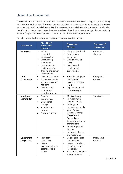# <span id="page-6-0"></span>Stakeholder Engagement

We establish and nurture relationships with our relevant stakeholders by instituting trust, transparency and an ethical work culture. These engagements provide us with opportunities to understand the views and expectations of our stakeholders. Feedback received from stakeholders is assessed and analysed to identify critical concerns which are discussed at relevant board committee meetings. The responsibility for identifying and addressing these concerns lies with the relevant departments.

| <b>Stakeholders</b>         | Key Topics /<br>Stakeholder<br><b>Concerns</b>                                                                                                                                        | Engagement<br><b>Methods</b>                                                                                                                                                                                                                                                                                                                                          | Frequency of<br>Engagement |
|-----------------------------|---------------------------------------------------------------------------------------------------------------------------------------------------------------------------------------|-----------------------------------------------------------------------------------------------------------------------------------------------------------------------------------------------------------------------------------------------------------------------------------------------------------------------------------------------------------------------|----------------------------|
| <b>Employees</b>            | Fair and<br>$\bullet$<br>competitive<br>compensation<br>Safe working<br>٠<br>environment<br>Involvement in<br>$\bullet$<br>decision-making<br>Training and career<br>٠<br>development | Company handbook<br>$\bullet$<br>New employee<br>$\bullet$<br>orientation<br>Whistle-blowing<br>$\bullet$<br>policy<br>Learning and<br>$\bullet$<br>development<br>opportunities                                                                                                                                                                                      | Throughout<br>the year     |
| Local<br>Communities        | Clean public spaces<br>$\bullet$<br>Proper avenues for<br>٠<br>waste disposal and<br>recycling<br>Awareness of<br>٠<br>disposal and<br>recycling process                              | Educational trips to<br>$\bullet$<br>the Material<br>Recovery Facilities<br>(''MRF")<br>Implementation of<br>$\bullet$<br>Ecomation apps                                                                                                                                                                                                                              | Throughout<br>the year     |
| Investors /<br>Shareholders | Financial<br>$\bullet$<br>performance<br>Operational<br>$\bullet$<br>strategy<br>Shareholders'<br>$\bullet$<br>returns<br>Corporate actions                                           | Media releases<br>$\bullet$<br>Half yearly SGX<br>$\bullet$<br>announcements<br><b>Briefings for</b><br>$\bullet$<br>investors and media<br>Yearly Annual<br>$\bullet$<br><b>General Meeting</b><br>("AGM") and<br>Extraordinary<br><b>General Meeting for</b><br>shareholders<br>Annual Report and<br>Circular<br>Investor conferences<br>$\bullet$<br>and roadshows | Periodically               |
| Government<br>/ Regulators  | Regulatory<br>$\bullet$<br>compliance<br>Waste<br>٠<br>management as an<br>essential public<br>service                                                                                | $\bullet$<br>Ongoing dialogues<br>and feedback<br>Meetings, briefings,<br>$\bullet$<br>consultations and<br>inspections<br>SGX correspondences/<br>announcements                                                                                                                                                                                                      | Throughout<br>the year     |

The table below illustrates how we engage with our various stakeholders: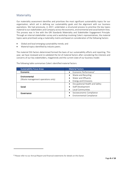## <span id="page-7-0"></span>Materiality

Our materiality assessment identifies and prioritises the most significant sustainability topics for our organisation, which aid in defining our sustainability goals and the alignment with our business aspirations. We had previously, in 2017, undertaken a structured process to prioritise the key topics material to our stakeholders and Company across the economic, environmental and social bottom lines. This process was in line with the GRI Standards Materiality and Stakeholder Engagement Principle. Through an internal stakeholder survey and a workshop involving Colex's representatives, the material topics were prioritised using a materiality matrix and based on consideration of the following factors:

- Global and local emerging sustainability trends; and
- Material topics identified by industry peers.

The material ESG factors determined formed the basis of our sustainability efforts and reporting. This year, we have reviewed and re-validated the list of material factors after considering the interests and concerns of our key stakeholders, megatrends and the current state of our business model.

| <b>Sustainability Focus Areas</b>  | <b>Material Factors</b>           |
|------------------------------------|-----------------------------------|
| Economic                           | Economic Performance <sup>2</sup> |
| Environmental                      | Waste and Recycling               |
| (Waste management operations only) | Water and Effluents               |
|                                    | <b>Energy and Emissions</b>       |
|                                    | Occupational Health and Safety    |
| Social                             | Staff Development                 |
|                                    | Local Communities                 |
| Governance                         | Socioeconomic Compliance          |
|                                    | Environmental Compliance          |

The following table summarises Colex's identified material factors:

l

<sup>2</sup> Please refer to our Annual Report and financial statements for details on this factor.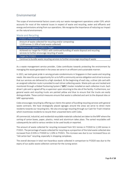# <span id="page-8-0"></span>Environmental

The scope of environmental factors covers only our waste management operations under CEPL which accounts for most of the material issues in respect of waste and recycling, water and effluents and energy and emissions arising from our operations. We recognise the importance of reducing our impact on the natural environment.

#### <span id="page-8-1"></span>Waste and Recycling

| FY2021's Performance                                                                                                                       |
|--------------------------------------------------------------------------------------------------------------------------------------------|
| Amount of waste collected for recycling and/or composting:<br>1,539 tonnes (1.10% of total waste collected)                                |
| Performance against FY2021's Target                                                                                                        |
| Achieved our target for FY2021 with continued bundling of waste disposal and recycling<br>services to further encourage recycling of waste |
| Target for FY2022                                                                                                                          |
| Continue to bundle waste recycling services to further encourage recycling of waste                                                        |

As a waste management service provider, Colex contributes towards protecting the environment by managing the waste generated in the areas we serve in an efficient and sustainable manner.

In 2021, we took great pride in serving private condominiums in Singapore in their waste and recycling needs. We view this as an opportunity for us to fulfil a community service obligation and strive to ensure that our services are delivered to a high standard. At the beginning of each day, a driver job card with an assigned collection route is provided to each driver collecting waste. Waste pick-ups are tracked and monitored through a Global Positioning System ("GPS") tracker installed on each collection truck. Each driver's job card is signed off by a supervisor upon returning to the site of the facility. Furthermore, our general waste and recycling trucks are painted yellow and blue to ensure that the trucks are easily distinguishable. These control measures ensure that waste is collected and sent to the disposal sites or MRF appropriately.

Colex encourages recycling by offering our clients the option of bundling recycling services with general waste contracts. We have strategically placed signages around the areas we serve to direct more residents towards our recycling bins. We also encourage recycling through our Cash-for-Trash initiative which incentivises residents to recycle their unwanted items with Colex.

All commercial, industrial, and residential recyclable materials collected are taken to the MRF where the sorting of carton boxes, paper, plastics, metal and aluminium takes place. The sorted recyclables will subsequently be sold to various vendors to be used locally or exported.

The amount of waste collected for recycling increased from 921 tonnes in FY2020 to 1,539 tonnes in FY2021. The percentage of waste collected for recycling as a proportion of the total waste collected also increased from 0.55% in FY2020 to 1.10% in FY2021. This increase was due to our increased focus on "old carton box" recycling, especially in shopping complexes.

The overall decrease in total non-hazardous waste collected in comparison to FY2020 was due to the expiry of our public waste collection contract for the Jurong sector.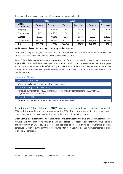The table below shows a breakdown of the amount of waste collected:

|                        | <b>FY2019</b> |            | <b>FY2020</b> |            | FY2021  |            |
|------------------------|---------------|------------|---------------|------------|---------|------------|
| Waste<br>collected for | <b>Tonnes</b> | Percentage | <b>Tonnes</b> | Percentage | Tonnes  | Percentage |
| Recycling              | 950           | 0.34%      | 743           | 0.44%      | 1,539   | 1.10%      |
| Composting             | 713           | 0.25%      | 178           | 0.11%      |         |            |
| Subtotal               | 1,663         | 0.59%      | 921           | 0.55%      | 1,539   | 1.10%      |
| Incineration           | 280,029       | 99.41%     | 167,227       | 99.45%     | 138,929 | 98.90%     |
| Total                  | 281,692       | 100%       | 168,148       | 100%       | 140,468 | 100%       |

#### Table: Waste collected for recycling, composting, and incineration

At our MRF, the percentage of materials recovered is approximately 25% of the total materials collected for recycling, which has remained relatively constant since FY2019.

As for Colex's daily waste management operations, one of the main wastes that the Company generates is engine oil from our workshops. As engine oil is a toxic waste which cannot be recovered, we have engaged waste disposal specialists for the safe handling and incineration of the waste. The total engine oil disposed during the reporting year was 1,400 litres compared to 1,800 litres in FY2020, as a result of a reduction in usable fleet size.

#### <span id="page-9-0"></span>Water and Effluents

<u>.</u>

| FY2021's Performance                                                                                                      |
|---------------------------------------------------------------------------------------------------------------------------|
| Water intensity: 0.034 $m^3$ /tonne of waste collected                                                                    |
| Performance against FY2021's Target                                                                                       |
| Achieved our target for FY2021 to maintain water intensity comparable to FY2020 at 0.035<br>$m3/tonne$ of waste collected |
| Target for FY2022                                                                                                         |
| Target to maintain or improve water intensity at current level                                                            |

According to the Public Utilities Board ("PUB"), Singapore's total water demand is expected to double by 2060 with the non-domestic sector accounting for 70%<sup>3</sup>. Thus, we are committed to consume water responsibly to avoid unnecessary wastage and reduce water stress in the region.

Washing trucks and cleaning the MRF account for significant water withdrawal and wastewater generated for Colex. We strive to improve water efficiency in our operations. To reduce our water withdrawal, training and information on water-saving measures are provided to truck drivers to raise awareness on water conservation, such as turning off the water source after every use. We also use rainwater stored in a tank in our daily operations.

<sup>3</sup> Source: https:[//www.pub.gov.sg/Documents/PUBOurWaterOurFuture.pdf](http://www.pub.gov.sg/Documents/PUBOurWaterOurFuture.pdf)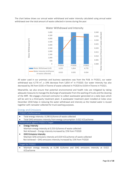The chart below shows our annual water withdrawal and water intensity calculated using annual water withdrawal over the total amount of waste collected in tonnes during the year:



All water used in our premises and business operations was from the PUB. In FY2021, our water withdrawal was 4,770 m<sup>3</sup>, a 19% decrease from 5,854 m<sup>3</sup> in FY2020. Our water intensity has also decreased by 3% from 0.035 m<sup>3</sup>/tonne of waste collected in FY2020 to 0.034 m<sup>3</sup>/tonne in FY2021.

Meanwhile, we also ensure that potential environmental and health risks are mitigated by taking adequate measures to manage the discharge of wastewater from the washing of trucks and the cleaning of the MRF. We engage a licensed contractor to collect wastewater generated on a daily basis which will be sent to a third-party treatment plant. A wastewater treatment plant installed at Colex since December 2018 helps in reducing the water withdrawal and intensity as the treated water is reused together with rainwater collected for truck washing purposes.

#### <span id="page-10-0"></span>Energy and Emissions

| FY2021's Performance                                                                                                                                                                                                                                                                                                                                         |
|--------------------------------------------------------------------------------------------------------------------------------------------------------------------------------------------------------------------------------------------------------------------------------------------------------------------------------------------------------------|
| Total energy intensity: 0.290 GJ/tonne of waste collected<br>Total GHG emissions intensity from energy consumption: 0.022 tCO <sub>2</sub> e/tonne                                                                                                                                                                                                           |
| Performance against FY2021's Target                                                                                                                                                                                                                                                                                                                          |
| <b>Energy Intensity</b><br>Maintain energy intensity at 0.253 GJ/tonne of waste collected:<br>Not Achieved - Energy intensity increased by 15% from FY2020<br><b>GHG Emissions Intensity</b><br>Maintain GHG emissions intensity at 0.019 tCO <sub>2</sub> e/tonne of waste collected<br>Not Achieved - GHG emissions intensity increased by 15% from FY2020 |
| Target for FY2022                                                                                                                                                                                                                                                                                                                                            |
| Maintain energy intensity at 0.290 GJ/tonne and GHG emissions intensity at 0.022<br>tCO <sub>2</sub> e/tonne                                                                                                                                                                                                                                                 |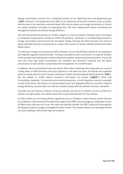Energy consumption accounts for a substantial portion of our operating costs and greenhouse gas ("GHG") emissions. The equipment in our MRF run on electricity, while some machines, tools, as well as vehicles used in our operations consume diesel. We strive to reduce our energy consumption to reduce our carbon footprint and lower our operating costs. We have implemented robust monitoring and management systems to enhance energy efficiency.

We note that we did not achieve our FY2021 targets, as a result of workers having to stay in the depot as temporary living quarters during the COVID-19 pandemic, resulting in a corresponding increase in energy consumption and emissions for the depot. Energy intensity and GHG emissions per tonne of waste collected had also increased due to a lower total amount of waste collected without the Public Waste sector

To reduce our energy consumption and GHG emissions, we use fuel-efficient vehicles in our operations and regularly upgrade existing vehicles. Training is provided to each truck driver on using the shortest routes possible and tracking each vehicle's diesel consumption using a computerised system. Trucks and vans that have high diesel consumption are inspected and serviced if required and the diesel consumption of each vehicle is presented to the management on a monthly basis.

In addition, we use automated trucks and electric lifters when collecting and sorting waste as a way of cutting down on GHG emissions and noise pollution in the areas we serve. All vehicles are inspected yearly to comply with the Land Transport Authority's Carbon Emissions-Based Vehicle Scheme ("CEVS"). We also adhere to United Nations Economic Commission for Europe ("UNECE")'s R101 Fuel Consumption standards. To promote environmental awareness, a truck inspection manual is provided to each truck driver and posters on environmental issues are displayed within our premises. Beyond energy efficiency, we also make sure that our vehicles comply with the pollution emission standards.

Currently, we own 26 Euro 5 vehicles, 20 Euro 4 vehicles, and 10 Euro 3 vehicles. As such, all 56 of our vehicles use high-quality, low-sulphur diesel that is purchased directly from the refinery.

At Colex's office, we use energy-efficient appliances such as LED lights, motion sensors, and an efficient air-conditioner. We disconnect the electricity supply to the MRF and encourage our employees to turn off lights when they are not in use. We track and carefully monitor the MRF's electricity consumption and regularly report its usage to management every month. This measure allows us to promptly identify any issues leading to abnormally high consumption.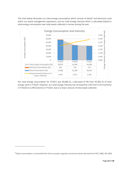The chart below illustrates our total energy consumption which consists of diesel<sup>4</sup> and electricity used within our waste management operations, and our total energy intensity which is calculated based on total energy consumption over total waste collected in tonnes during the year.



Our total energy consumption for FY2021 was 40,686 GJ, a decrease of 4% from 42,465 GJ of total energy used in FY2020. However, our total energy intensity has increased by 15% from 0.253 GJ/tonne in FY2020 to 0.290 GJ/tonne in FY2021 due to a lower amount of total waste collected.

-

<sup>&</sup>lt;sup>4</sup> Diesel consumption is converted from litres to joules using the conversion factors derived from IPCC 2006, IEA 2005.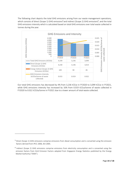The following chart depicts the total GHG emissions arising from our waste management operations, which consists of direct (Scope 1) GHG emissions<sup>5</sup> and indirect (Scope 2) GHG emissions<sup>6</sup>, and the total GHG emissions intensity which is calculated based on total GHG emissions over total waste collected in tonnes during the year.



Our total GHG emissions has decreased by 4% from 3,236 tCO<sub>2</sub>e in FY2020 to 3,099 tCO<sub>2</sub>e in FY2021, while GHG emissions intensity has increased by  $16\%$  from 0.019 tCO<sub>2</sub>e/tonne of waste collected in FY2020 to 0.022 tCO2e/tonne in FY2021 due to a lower amount of total waste collected.

<u>.</u>

<sup>5</sup> Direct (Scope 1) GHG emissions comprise emissions from diesel consumption and is converted using the emission factors derived from IPCC 2006, IEA 2005.

<sup>&</sup>lt;sup>6</sup> Indirect (Scope 2) GHG emissions comprise emissions from electricity consumption and is converted using the emission factors from Grid Emission Factors adopted from Singapore Energy Statistics published by the Energy Market Authority ("EMA").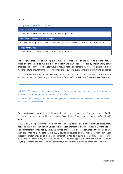### <span id="page-14-0"></span>Social

### <span id="page-14-1"></span>Occupational Health and Safety

FY2021's Performance

Maintained the bizSAFE Level 3 status for all our operations

Performance against FY2021's Target

Achieved our target for FY2021 in maintaining the bizSAFE Level 3 status for all our operations

Target for FY2022

Maintain the bizSAFE Level 3 status for all our operations

We recognise that some of our employees may be exposed to health and safety risks in their regular scope of work and duties. We strive for an incident and injury-free workplace by implementing safety practices and continually looking for ways to reduce health and safety risks wherever possible. It is our responsibility to ensure that the working conditions of our employees adhere to international standards.

All our sites were certified under ISO 9001:2015 and ISO 14001:2015 standards. We continue to send 100% of new workers (including drivers and crew) for Workforce Skills Qualifications ("WSQ") courses.

*ISO 9001:2015 specifies the requirements for a quality management system to meet customer and applicable statutory and regulatory requirements, while* 

*ISO 14001:2015 specifies the requirements for an environmental management system to enhance environmental performance.* 

Our operations are assessed for health and safety risks on a regular basis. Colex has been certified by an external auditor recognised by the Singapore Accreditation Council and attained the bizSAFE Level 3 status.

BizSAFE is a 5-step programme to help companies build up capabilities in addressing workplace safety, health and security. Members of Colex's top management team took part in a bizSAFE Workshop for Top Management conducted by a bizSAFE service provider. A Risk Management ("RM") Champion was then appointed to participate in a bizSAFE course to develop an RM Implementation Plan. Upon successful implementation of the RM Implementation Plan to mitigate all the highlighted risks in the plan, Colex is audited every 3 years by an external third party approved by the Ministry of Manpower ("MOM") to attain the bizSAFE Level 3 certificate, with the latest audit being conducted in FY2020.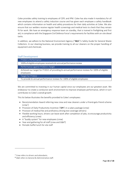Colex provides safety training to employees of CEPL and IPM. Colex has also made it mandatory for all new employees to attend a safety induction course and has given each employee a safety handbook which contains information on health and safety procedures for their daily activities at Colex. We also ensure that our welders receive regular health screenings and medical tests to check that they remain fit for work. We have an emergency response team on standby, that is trained in firefighting and first aid, in compliance with the Singapore Civil Defence Force's requirements for facilities with on-site diesel tanks.

In addition, we adhere to the National Environment Agency ("NEA")'s Safety Guide for General Waste Collectors. In our cleaning business, we provide training to all our cleaners on the proper handling of equipment and chemicals.

### <span id="page-15-0"></span>Staff Development

| FY2021's Performance                                                                                        |
|-------------------------------------------------------------------------------------------------------------|
| 100% of eligible employees received a bi-annual performance review                                          |
| Performance against FY2021's Target                                                                         |
| Achieved our target for FY2021 of providing bi-annual performance reviews for 100% of eligible<br>employees |
| Target for FY2022                                                                                           |
| To provide bi-annual performance reviews for 100% of eligible employees                                     |

We are committed to investing in our human capital since our employees are our greatest asset. We endeavour to create a conducive work environment to improve employee performance, which in turn contributes to Colex's overall growth.

This list below illustrates the benefits provided to Colex's employees:

- Recommendation Award referring new crew and new cleaners under a friend-gets-friend scheme  $(\text{crew}^7)$
- Provision of Daily Productivity Incentive ("DPI") in a salary package (crew)
- Provision of medical fee and proficiency driving test coverage (drivers)
- Flexible working hours; drivers can leave work after completion of jobs, to encourage productivity and efficiency (crew)
- A "buddy system" for new employees (crew)
- Year-end gathering for all staff (crew and G&A<sup>8</sup>)
- Periodic buffet lunch for site staff

<u>.</u>

<sup>7</sup> Crew refers to drivers and attendants.

<sup>8</sup> G&A refers to General & Administrative staff.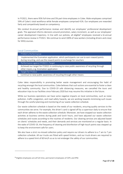In FY2021, there were 95% full-time and 5% part-time employees in Colex. Male employees comprised 59% of Colex's total workforce while female employees comprised 41%. Our employees are rewarded fairly and competitively based on competency.

We conduct bi-annual performance reviews and identify our employees' professional development goals. The appraisal informs decisions around promotion, salary increment, as well as our employees' career development trajectory. In line with our policies, all eligible<sup>9</sup> employees received a bi-annual performance review in FY2021. We continue to send 100% of new workers (including drivers and crew) for WSQ courses.

#### <span id="page-16-0"></span>Local Communities

<u>.</u>

| FY2021's Performance                                                                                                                                            |
|-----------------------------------------------------------------------------------------------------------------------------------------------------------------|
| Implemented the Ecomation application, which participants can use to earn reward points<br>during recycling, and use the reward points to exchange for vouchers |
| Performance against FY2021's Target                                                                                                                             |
| Achieved our target for FY2021 in continuing to raise public awareness of recycling through<br>other means, e.g. Ecomation application                          |
| Target for FY2022                                                                                                                                               |
| Continue to raise public awareness of recycling through other means                                                                                             |

Colex takes responsibility in promoting better waste management and encouraging the habit of recycling amongst the local communities. Colex believes that such actions are essential to foster a clean and healthy community. Due to COVID-19 safe distancing measures, we cancelled the tours and education trips to our facilities since February 2020 but may resume this initiative in the future.

While our business operations can have some negative impacts on local communities, such as noise pollution, traffic congestion, and road safety hazards, we are working towards minimising such issues through the careful planning and monitoring of our waste collection schedule.

Our waste collection schedule is based on the needs of our residents, ensuring quality services to the communities we serve. For example, the driver's card is signed off by a supervisor daily to ensure that each driver adheres to the waste collection schedule. Moreover, we have stopped our waste collection activities at business centres during peak and lunch hours, and have adjusted our waste collection schedules and routes according to the routines of residents. Our cleaning services are adjusted based on clients' schedules and needs, and their demands and services are monitored on a regular basis. In the wake of COVID-19, the frequency of cleaning and disinfection of high-touch points was stepped up to keep the environment safe for users.

We also have a strict no-missed collection policy and require our drivers to adhere to a 7 am to 7 pm collection schedule. All our trucks are fitted with speed limiters, and our truck drivers are required to adhere to a speed limit of 60 km/h so as to not endanger the safety of our communities.

<sup>9</sup> Eligible employees are all full-time, permanent employees of CEPL and IPM.